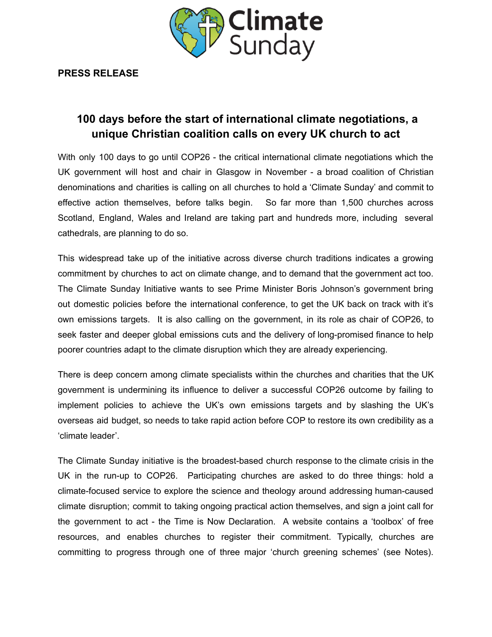

**PRESS RELEASE**

# **100 days before the start of international climate negotiations, a unique Christian coalition calls on every UK church to act**

With only 100 days to go until COP26 - the critical international climate negotiations which the UK government will host and chair in Glasgow in November - a broad coalition of Christian denominations and charities is calling on all churches to hold a 'Climate Sunday' and commit to effective action themselves, before talks begin. So far more than 1,500 churches across Scotland, England, Wales and Ireland are taking part and hundreds more, including several cathedrals, are planning to do so.

This widespread take up of the initiative across diverse church traditions indicates a growing commitment by churches to act on climate change, and to demand that the government act too. The Climate Sunday Initiative wants to see Prime Minister Boris Johnson's government bring out domestic policies before the international conference, to get the UK back on track with it's own emissions targets. It is also calling on the government, in its role as chair of COP26, to seek faster and deeper global emissions cuts and the delivery of long-promised finance to help poorer countries adapt to the climate disruption which they are already experiencing.

There is deep concern among climate specialists within the churches and charities that the UK government is undermining its influence to deliver a successful COP26 outcome by failing to implement policies to achieve the UK's own emissions targets and by slashing the UK's overseas aid budget, so needs to take rapid action before COP to restore its own credibility as a 'climate leader'.

The Climate Sunday initiative is the broadest-based church response to the climate crisis in the UK in the run-up to COP26. Participating churches are asked to do three things: hold a climate-focused service to explore the science and theology around addressing human-caused climate disruption; commit to taking ongoing practical action themselves, and sign a joint call for the government to act - the Time is Now Declaration. A website contains a 'toolbox' of free resources, and enables churches to register their commitment. Typically, churches are committing to progress through one of three major 'church greening schemes' (see Notes).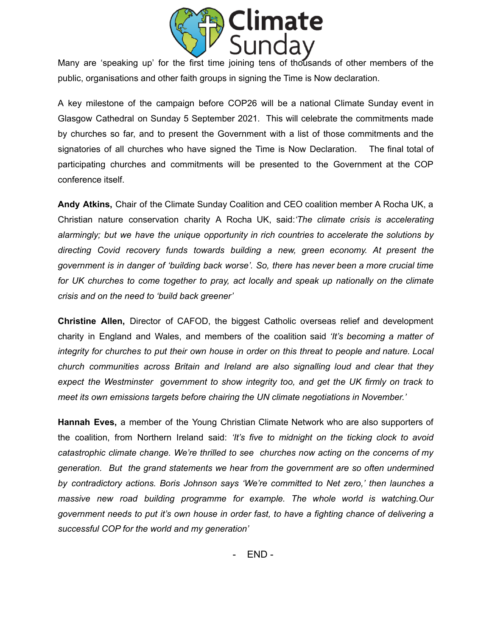

Many are 'speaking up' for the first time joining tens of thousands of other members of the public, organisations and other faith groups in signing the Time is Now declaration.

A key milestone of the campaign before COP26 will be a national Climate Sunday event in Glasgow Cathedral on Sunday 5 September 2021. This will celebrate the commitments made by churches so far, and to present the Government with a list of those commitments and the signatories of all churches who have signed the Time is Now Declaration. The final total of participating churches and commitments will be presented to the Government at the COP conference itself.

**Andy Atkins,** Chair of the Climate Sunday Coalition and CEO coalition member A Rocha UK, a Christian nature conservation charity A Rocha UK, said:*'The climate crisis is accelerating alarmingly; but we have the unique opportunity in rich countries to accelerate the solutions by directing Covid recovery funds towards building a new, green economy. At present the government is in danger of 'building back worse'. So, there has never been a more crucial time for UK churches to come together to pray, act locally and speak up nationally on the climate crisis and on the need to 'build back greener'*

**Christine Allen,** Director of CAFOD, the biggest Catholic overseas relief and development charity in England and Wales, and members of the coalition said *'It's becoming a matter of integrity for churches to put their own house in order on this threat to people and nature. Local church communities across Britain and Ireland are also signalling loud and clear that they expect the Westminster government to show integrity too, and get the UK firmly on track to meet its own emissions targets before chairing the UN climate negotiations in November.'*

**Hannah Eves,** a member of the Young Christian Climate Network who are also supporters of the coalition, from Northern Ireland said: *'It's five to midnight on the ticking clock to avoid catastrophic climate change. We're thrilled to see churches now acting on the concerns of my generation. But the grand statements we hear from the government are so often undermined by contradictory actions. Boris Johnson says 'We're committed to Net zero,' then launches a massive new road building programme for example. The whole world is watching.Our government needs to put it's own house in order fast, to have a fighting chance of delivering a successful COP for the world and my generation'*

- END -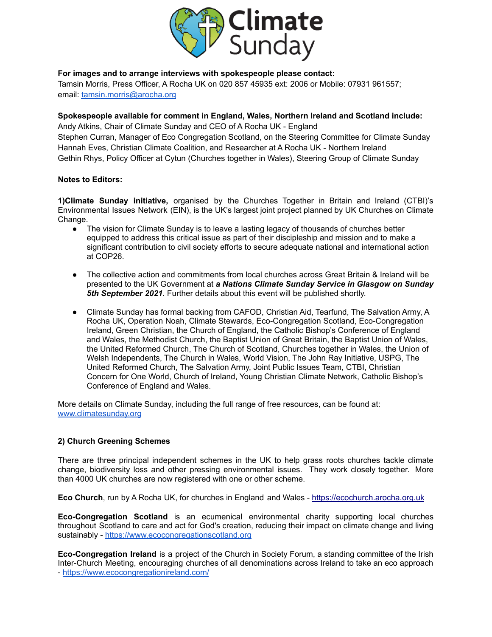

### **For images and to arrange interviews with spokespeople please contact:**

Tamsin Morris, Press Officer, A Rocha UK on 020 857 45935 ext: 2006 or Mobile: 07931 961557; email: [tamsin.morris@arocha.org](mailto:tamsin.morris@arocha.org)

#### **Spokespeople available for comment in England, Wales, Northern Ireland and Scotland include:**

Andy Atkins, Chair of Climate Sunday and CEO of A Rocha UK - England Stephen Curran, Manager of Eco Congregation Scotland, on the Steering Committee for Climate Sunday Hannah Eves, Christian Climate Coalition, and Researcher at A Rocha UK - Northern Ireland Gethin Rhys, Policy Officer at Cytun (Churches together in Wales), Steering Group of Climate Sunday

#### **Notes to Editors:**

**1)Climate Sunday initiative,** organised by the Churches Together in Britain and Ireland (CTBI)'s Environmental Issues Network (EIN), is the UK's largest joint project planned by UK Churches on Climate Change.

- The vision for Climate Sunday is to leave a lasting legacy of thousands of churches better equipped to address this critical issue as part of their discipleship and mission and to make a significant contribution to civil society efforts to secure adequate national and international action at COP26.
- The collective action and commitments from local churches across Great Britain & Ireland will be presented to the UK Government at *a Nations Climate Sunday Service in Glasgow on Sunday 5th September 2021*. Further details about this event will be published shortly.
- Climate Sunday has formal backing from CAFOD, Christian Aid, Tearfund, The Salvation Army, A Rocha UK, Operation Noah, Climate Stewards, Eco-Congregation Scotland, Eco-Congregation Ireland, Green Christian, the Church of England, the Catholic Bishop's Conference of England and Wales, the Methodist Church, the Baptist Union of Great Britain, the Baptist Union of Wales, the United Reformed Church, The Church of Scotland, Churches together in Wales, the Union of Welsh Independents, The Church in Wales, World Vision, The John Ray Initiative, USPG, The United Reformed Church, The Salvation Army, Joint Public Issues Team, CTBI, Christian Concern for One World, Church of Ireland, Young Christian Climate Network, Catholic Bishop's Conference of England and Wales.

More details on Climate Sunday, including the full range of free resources, can be found at: [www.climatesunday.org](http://www.climatesunday.org)

## **2) Church Greening Schemes**

There are three principal independent schemes in the UK to help grass roots churches tackle climate change, biodiversity loss and other pressing environmental issues. They work closely together. More than 4000 UK churches are now registered with one or other scheme.

**Eco Church**, run by A Rocha UK, for churches in England and Wales - [https://ecochurch.arocha.org.uk](https://ecochurch.arocha.org.uk/)

**Eco-Congregation Scotland** is an ecumenical environmental charity supporting local churches throughout Scotland to care and act for God's creation, reducing their impact on climate change and living sustainably - <https://www.ecocongregationscotland.org>

**Eco-Congregation Ireland** is a project of the Church in Society Forum, a standing committee of the Irish Inter-Church Meeting, encouraging churches of all denominations across Ireland to take an eco approach - <https://www.ecocongregationireland.com/>